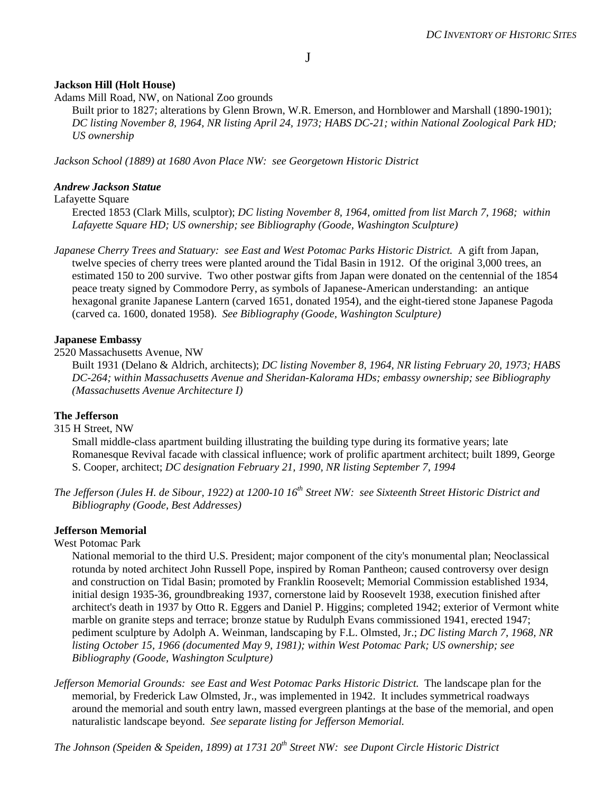# **Jackson Hill (Holt House)**

Adams Mill Road, NW, on National Zoo grounds

Built prior to 1827; alterations by Glenn Brown, W.R. Emerson, and Hornblower and Marshall (1890-1901); *DC listing November 8, 1964, NR listing April 24, 1973; HABS DC-21; within National Zoological Park HD; US ownership*

*Jackson School (1889) at 1680 Avon Place NW: see Georgetown Historic District* 

#### *Andrew Jackson Statue*

#### Lafayette Square

Erected 1853 (Clark Mills, sculptor); *DC listing November 8, 1964, omitted from list March 7, 1968; within Lafayette Square HD; US ownership; see Bibliography (Goode, Washington Sculpture)*

*Japanese Cherry Trees and Statuary: see East and West Potomac Parks Historic District.* A gift from Japan, twelve species of cherry trees were planted around the Tidal Basin in 1912. Of the original 3,000 trees, an estimated 150 to 200 survive. Two other postwar gifts from Japan were donated on the centennial of the 1854 peace treaty signed by Commodore Perry, as symbols of Japanese-American understanding: an antique hexagonal granite Japanese Lantern (carved 1651, donated 1954), and the eight-tiered stone Japanese Pagoda (carved ca. 1600, donated 1958). *See Bibliography (Goode, Washington Sculpture)*

#### **Japanese Embassy**

2520 Massachusetts Avenue, NW

Built 1931 (Delano & Aldrich, architects); *DC listing November 8, 1964, NR listing February 20, 1973; HABS DC-264; within Massachusetts Avenue and Sheridan-Kalorama HDs; embassy ownership; see Bibliography (Massachusetts Avenue Architecture I)*

## **The Jefferson**

## 315 H Street, NW

Small middle-class apartment building illustrating the building type during its formative years; late Romanesque Revival facade with classical influence; work of prolific apartment architect; built 1899, George S. Cooper, architect; *DC designation February 21, 1990, NR listing September 7, 1994*

*The Jefferson (Jules H. de Sibour, 1922) at 1200-10 16th Street NW: see Sixteenth Street Historic District and Bibliography (Goode, Best Addresses)* 

## **Jefferson Memorial**

#### West Potomac Park

National memorial to the third U.S. President; major component of the city's monumental plan; Neoclassical rotunda by noted architect John Russell Pope, inspired by Roman Pantheon; caused controversy over design and construction on Tidal Basin; promoted by Franklin Roosevelt; Memorial Commission established 1934, initial design 1935-36, groundbreaking 1937, cornerstone laid by Roosevelt 1938, execution finished after architect's death in 1937 by Otto R. Eggers and Daniel P. Higgins; completed 1942; exterior of Vermont white marble on granite steps and terrace; bronze statue by Rudulph Evans commissioned 1941, erected 1947; pediment sculpture by Adolph A. Weinman, landscaping by F.L. Olmsted, Jr.; *DC listing March 7, 1968, NR listing October 15, 1966 (documented May 9, 1981); within West Potomac Park; US ownership; see Bibliography (Goode, Washington Sculpture)*

*Jefferson Memorial Grounds: see East and West Potomac Parks Historic District.* The landscape plan for the memorial, by Frederick Law Olmsted, Jr., was implemented in 1942. It includes symmetrical roadways around the memorial and south entry lawn, massed evergreen plantings at the base of the memorial, and open naturalistic landscape beyond. *See separate listing for Jefferson Memorial.*

*The Johnson (Speiden & Speiden, 1899) at 1731 20th Street NW: see Dupont Circle Historic District*